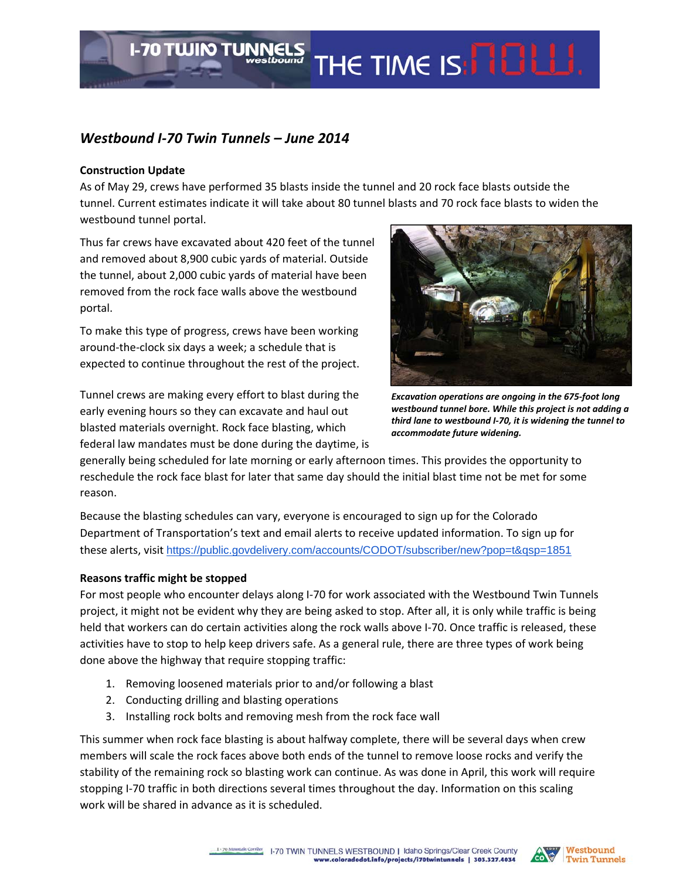## *Westbound I‐70 Twin Tunnels – June 2014*

**I-70 TWIN TUNNELS** 

## **Construction Update**

As of May 29, crews have performed 35 blasts inside the tunnel and 20 rock face blasts outside the tunnel. Current estimates indicate it will take about 80 tunnel blasts and 70 rock face blasts to widen the westbound tunnel portal.

Thus far crews have excavated about 420 feet of the tunnel and removed about 8,900 cubic yards of material. Outside the tunnel, about 2,000 cubic yards of material have been removed from the rock face walls above the westbound portal.

To make this type of progress, crews have been working around‐the‐clock six days a week; a schedule that is expected to continue throughout the rest of the project.

Tunnel crews are making every effort to blast during the early evening hours so they can excavate and haul out blasted materials overnight. Rock face blasting, which federal law mandates must be done during the daytime, is



THE TIME IS: **NOW!** 

*Excavation operations are ongoing in the 675‐foot long westbound tunnel bore. While this project is not adding a third lane to westbound I‐70, it is widening the tunnel to accommodate future widening.*

generally being scheduled for late morning or early afternoon times. This provides the opportunity to reschedule the rock face blast for later that same day should the initial blast time not be met for some reason.

Because the blasting schedules can vary, everyone is encouraged to sign up for the Colorado Department of Transportation's text and email alerts to receive updated information. To sign up for these alerts, visit https://public.govdelivery.com/accounts/CODOT/subscriber/new?pop=t&qsp=1851

## **Reasons traffic might be stopped**

For most people who encounter delays along I-70 for work associated with the Westbound Twin Tunnels project, it might not be evident why they are being asked to stop. After all, it is only while traffic is being held that workers can do certain activities along the rock walls above I-70. Once traffic is released, these activities have to stop to help keep drivers safe. As a general rule, there are three types of work being done above the highway that require stopping traffic:

- 1. Removing loosened materials prior to and/or following a blast
- 2. Conducting drilling and blasting operations
- 3. Installing rock bolts and removing mesh from the rock face wall

This summer when rock face blasting is about halfway complete, there will be several days when crew members will scale the rock faces above both ends of the tunnel to remove loose rocks and verify the stability of the remaining rock so blasting work can continue. As was done in April, this work will require stopping I‐70 traffic in both directions several times throughout the day. Information on this scaling work will be shared in advance as it is scheduled.